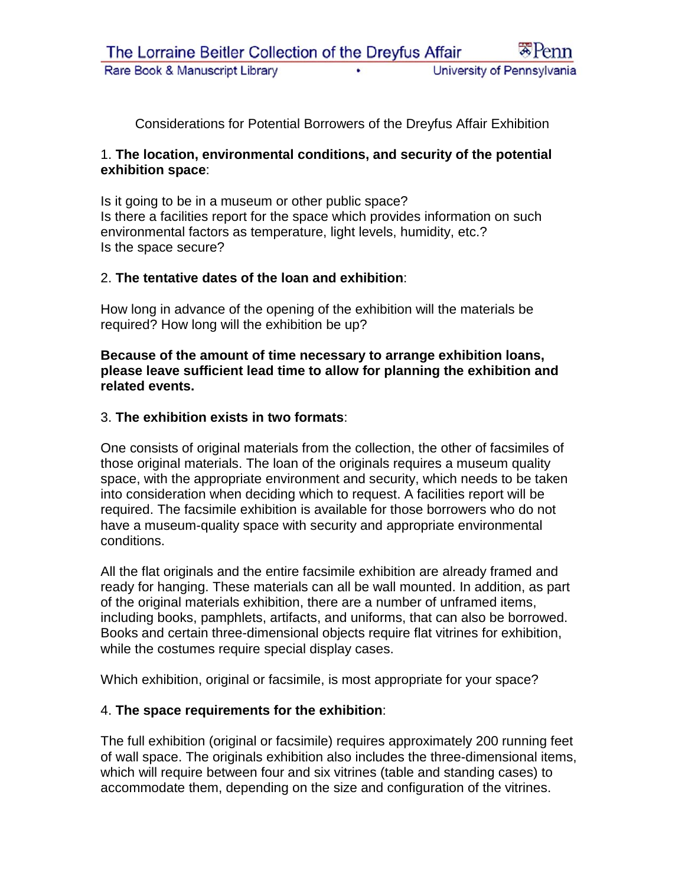Considerations for Potential Borrowers of the Dreyfus Affair Exhibition

### 1. **The location, environmental conditions, and security of the potential exhibition space**:

Is it going to be in a museum or other public space? Is there a facilities report for the space which provides information on such environmental factors as temperature, light levels, humidity, etc.? Is the space secure?

## 2. **The tentative dates of the loan and exhibition**:

How long in advance of the opening of the exhibition will the materials be required? How long will the exhibition be up?

**Because of the amount of time necessary to arrange exhibition loans, please leave sufficient lead time to allow for planning the exhibition and related events.**

#### 3. **The exhibition exists in two formats**:

One consists of original materials from the collection, the other of facsimiles of those original materials. The loan of the originals requires a museum quality space, with the appropriate environment and security, which needs to be taken into consideration when deciding which to request. A facilities report will be required. The facsimile exhibition is available for those borrowers who do not have a museum-quality space with security and appropriate environmental conditions.

All the flat originals and the entire facsimile exhibition are already framed and ready for hanging. These materials can all be wall mounted. In addition, as part of the original materials exhibition, there are a number of unframed items, including books, pamphlets, artifacts, and uniforms, that can also be borrowed. Books and certain three-dimensional objects require flat vitrines for exhibition, while the costumes require special display cases.

Which exhibition, original or facsimile, is most appropriate for your space?

## 4. **The space requirements for the exhibition**:

The full exhibition (original or facsimile) requires approximately 200 running feet of wall space. The originals exhibition also includes the three-dimensional items, which will require between four and six vitrines (table and standing cases) to accommodate them, depending on the size and configuration of the vitrines.